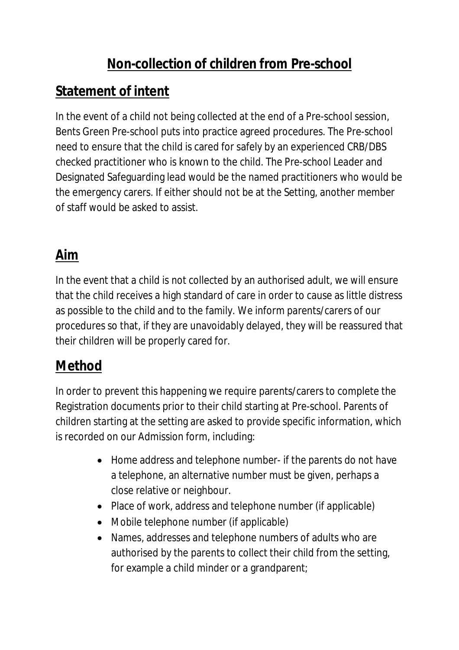## **Non-collection of children from Pre-school**

## **Statement of intent**

In the event of a child not being collected at the end of a Pre-school session, Bents Green Pre-school puts into practice agreed procedures. The Pre-school need to ensure that the child is cared for safely by an experienced CRB/DBS checked practitioner who is known to the child. The Pre-school Leader and Designated Safeguarding lead would be the named practitioners who would be the emergency carers. If either should not be at the Setting, another member of staff would be asked to assist.

## **Aim**

In the event that a child is not collected by an authorised adult, we will ensure that the child receives a high standard of care in order to cause as little distress as possible to the child and to the family. We inform parents/carers of our procedures so that, if they are unavoidably delayed, they will be reassured that their children will be properly cared for.

## **Method**

In order to prevent this happening we require parents/carers to complete the Registration documents prior to their child starting at Pre-school. Parents of children starting at the setting are asked to provide specific information, which is recorded on our Admission form, including:

- Home address and telephone number- if the parents do not have a telephone, an alternative number must be given, perhaps a close relative or neighbour.
- Place of work, address and telephone number (if applicable)
- Mobile telephone number (if applicable)
- Names, addresses and telephone numbers of adults who are authorised by the parents to collect their child from the setting, for example a child minder or a grandparent;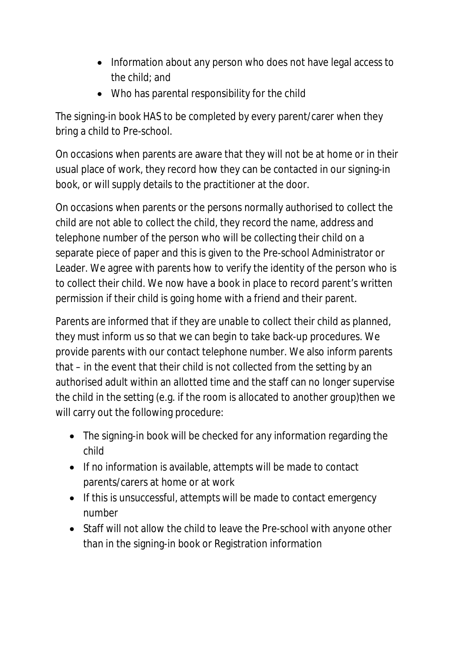- Information about any person who does not have legal access to the child; and
- Who has parental responsibility for the child

The signing-in book HAS to be completed by every parent/carer when they bring a child to Pre-school.

On occasions when parents are aware that they will not be at home or in their usual place of work, they record how they can be contacted in our signing-in book, or will supply details to the practitioner at the door.

On occasions when parents or the persons normally authorised to collect the child are not able to collect the child, they record the name, address and telephone number of the person who will be collecting their child on a separate piece of paper and this is given to the Pre-school Administrator or Leader. We agree with parents how to verify the identity of the person who is to collect their child. We now have a book in place to record parent's written permission if their child is going home with a friend and their parent.

Parents are informed that if they are unable to collect their child as planned, they must inform us so that we can begin to take back-up procedures. We provide parents with our contact telephone number. We also inform parents that – in the event that their child is not collected from the setting by an authorised adult within an allotted time and the staff can no longer supervise the child in the setting (e.g. if the room is allocated to another group)then we will carry out the following procedure:

- The signing-in book will be checked for any information regarding the child
- If no information is available, attempts will be made to contact parents/carers at home or at work
- If this is unsuccessful, attempts will be made to contact emergency number
- Staff will not allow the child to leave the Pre-school with anyone other than in the signing-in book or Registration information